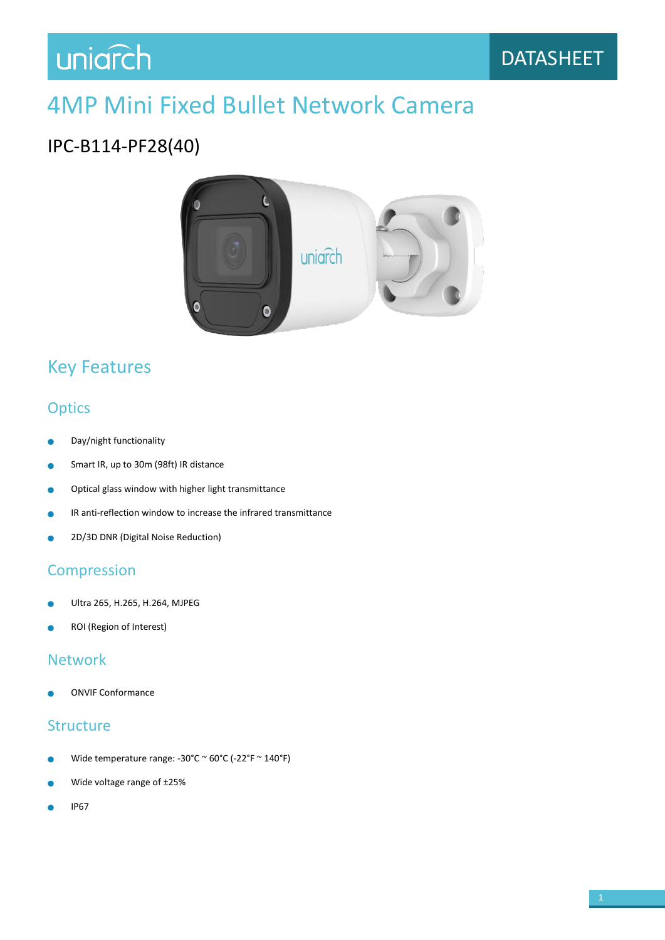## uniarch

## 4MP Mini Fixed Bullet Network Camera

## IPC-B114-PF28(40)



## Key Features

### **Optics**

- Day/night functionality
- Smart IR, up to 30m (98ft) IR distance ٠
- Optical glass window with higher light transmittance  $\bullet$
- IR anti-reflection window to increase the infrared transmittance ò
- 2D/3D DNR (Digital Noise Reduction) Ŏ

#### Compression

- Ultra 265, H.265, H.264, MJPEG
- ROI (Region of Interest)

#### Network

ONVIF Conformance

#### **Structure**

- Wide temperature range: -30°C ~ 60°C (-22°F ~ 140°F)
- Wide voltage range of ±25%
- IP67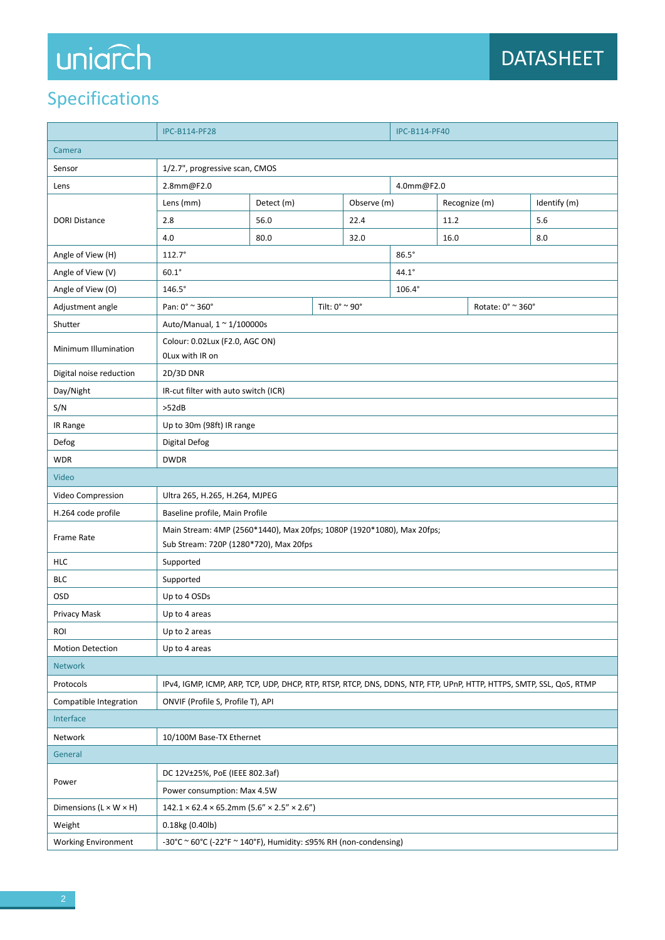# uniarch

## Specifications

|                                    | <b>IPC-B114-PF28</b>                                                                                                 |            |  |             | <b>IPC-B114-PF40</b> |               |  |              |  |
|------------------------------------|----------------------------------------------------------------------------------------------------------------------|------------|--|-------------|----------------------|---------------|--|--------------|--|
| Camera                             |                                                                                                                      |            |  |             |                      |               |  |              |  |
| Sensor                             | 1/2.7", progressive scan, CMOS                                                                                       |            |  |             |                      |               |  |              |  |
| Lens                               | 2.8mm@F2.0<br>4.0mm@F2.0                                                                                             |            |  |             |                      |               |  |              |  |
| <b>DORI Distance</b>               | Lens (mm)                                                                                                            | Detect (m) |  | Observe (m) |                      | Recognize (m) |  | Identify (m) |  |
|                                    | 2.8                                                                                                                  | 56.0       |  | 22.4        |                      | 11.2          |  | 5.6          |  |
|                                    | 4.0                                                                                                                  | 80.0       |  | 32.0        |                      | 16.0          |  | 8.0          |  |
| Angle of View (H)                  | $112.7^{\circ}$                                                                                                      |            |  |             | $86.5^\circ$         |               |  |              |  |
| Angle of View (V)                  | $60.1^\circ$                                                                                                         |            |  |             | $44.1^\circ$         |               |  |              |  |
| Angle of View (O)                  | $146.5^\circ$                                                                                                        |            |  |             | $106.4^\circ$        |               |  |              |  |
| Adjustment angle                   | Pan: 0° ~ 360°<br>Tilt: 0° ~ 90°                                                                                     |            |  |             | Rotate: 0° ~ 360°    |               |  |              |  |
| Shutter                            | Auto/Manual, 1 ~ 1/100000s                                                                                           |            |  |             |                      |               |  |              |  |
| Minimum Illumination               | Colour: 0.02Lux (F2.0, AGC ON)<br>OLux with IR on                                                                    |            |  |             |                      |               |  |              |  |
| Digital noise reduction            | 2D/3D DNR                                                                                                            |            |  |             |                      |               |  |              |  |
| Day/Night                          | IR-cut filter with auto switch (ICR)                                                                                 |            |  |             |                      |               |  |              |  |
| S/N                                | >52dB                                                                                                                |            |  |             |                      |               |  |              |  |
| IR Range                           | Up to 30m (98ft) IR range                                                                                            |            |  |             |                      |               |  |              |  |
| Defog                              | Digital Defog                                                                                                        |            |  |             |                      |               |  |              |  |
| <b>WDR</b>                         | <b>DWDR</b>                                                                                                          |            |  |             |                      |               |  |              |  |
| Video                              |                                                                                                                      |            |  |             |                      |               |  |              |  |
| Video Compression                  | Ultra 265, H.265, H.264, MJPEG                                                                                       |            |  |             |                      |               |  |              |  |
| H.264 code profile                 | Baseline profile, Main Profile                                                                                       |            |  |             |                      |               |  |              |  |
| Frame Rate                         | Main Stream: 4MP (2560*1440), Max 20fps; 1080P (1920*1080), Max 20fps;<br>Sub Stream: 720P (1280*720), Max 20fps     |            |  |             |                      |               |  |              |  |
| <b>HLC</b>                         | Supported                                                                                                            |            |  |             |                      |               |  |              |  |
| <b>BLC</b>                         | Supported                                                                                                            |            |  |             |                      |               |  |              |  |
| OSD                                | Up to 4 OSDs                                                                                                         |            |  |             |                      |               |  |              |  |
| Privacy Mask                       | Up to 4 areas                                                                                                        |            |  |             |                      |               |  |              |  |
| <b>ROI</b>                         | Up to 2 areas                                                                                                        |            |  |             |                      |               |  |              |  |
| <b>Motion Detection</b>            | Up to 4 areas                                                                                                        |            |  |             |                      |               |  |              |  |
| <b>Network</b>                     |                                                                                                                      |            |  |             |                      |               |  |              |  |
| Protocols                          | IPv4, IGMP, ICMP, ARP, TCP, UDP, DHCP, RTP, RTSP, RTCP, DNS, DDNS, NTP, FTP, UPnP, HTTP, HTTPS, SMTP, SSL, QoS, RTMP |            |  |             |                      |               |  |              |  |
| Compatible Integration             | ONVIF (Profile S, Profile T), API                                                                                    |            |  |             |                      |               |  |              |  |
| Interface                          |                                                                                                                      |            |  |             |                      |               |  |              |  |
| Network                            | 10/100M Base-TX Ethernet                                                                                             |            |  |             |                      |               |  |              |  |
| General                            |                                                                                                                      |            |  |             |                      |               |  |              |  |
| Power                              | DC 12V±25%, PoE (IEEE 802.3af)                                                                                       |            |  |             |                      |               |  |              |  |
|                                    | Power consumption: Max 4.5W                                                                                          |            |  |             |                      |               |  |              |  |
| Dimensions $(L \times W \times H)$ | $142.1 \times 62.4 \times 65.2$ mm (5.6" × 2.5" × 2.6")                                                              |            |  |             |                      |               |  |              |  |
| Weight                             | 0.18kg (0.40lb)                                                                                                      |            |  |             |                      |               |  |              |  |
| <b>Working Environment</b>         | -30°C ~ 60°C (-22°F ~ 140°F), Humidity: ≤95% RH (non-condensing)                                                     |            |  |             |                      |               |  |              |  |
|                                    |                                                                                                                      |            |  |             |                      |               |  |              |  |